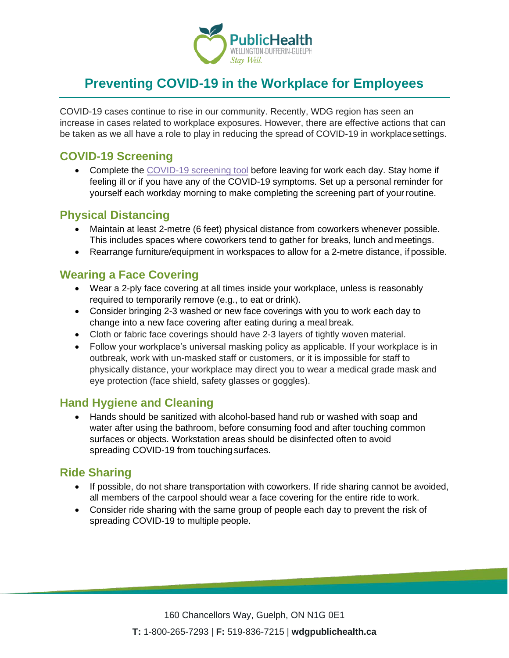

# **Preventing COVID-19 in the Workplace for Employees**

COVID-19 cases continue to rise in our community. Recently, WDG region has seen an increase in cases related to workplace exposures. However, there are effective actions that can be taken as we all have a role to play in reducing the spread of COVID-19 in workplacesettings.

## **COVID-19 Screening**

• Complete the COVID-19 screening tool before leaving for work each day. Stay home if feeling ill or if you have any of the COVID-19 symptoms. Set up a personal reminder for yourself each workday morning to make completing the screening part of yourroutine.

### **Physical Distancing**

- Maintain at least 2-metre (6 feet) physical distance from coworkers whenever possible. This includes spaces where coworkers tend to gather for breaks, lunch and meetings.
- Rearrange furniture/equipment in workspaces to allow for a 2-metre distance, if possible.

#### **Wearing a Face Covering**

- Wear a 2-ply face covering at all times inside your workplace, unless is reasonably required to temporarily remove (e.g., to eat or drink).
- Consider bringing 2-3 washed or new face coverings with you to work each day to change into a new face covering after eating during a meal break.
- Cloth or fabric face coverings should have 2-3 layers of tightly woven material.
- Follow your workplace's universal masking policy as applicable. If your workplace is in outbreak, work with un-masked staff or customers, or it is impossible for staff to physically distance, your workplace may direct you to wear a medical grade mask and eye protection (face shield, safety glasses or goggles).

#### **Hand Hygiene and Cleaning**

• Hands should be sanitized with alcohol-based hand rub or washed with soap and water after using the bathroom, before consuming food and after touching common surfaces or objects. Workstation areas should be disinfected often to avoid spreading COVID-19 from touchingsurfaces.

## **Ride Sharing**

- If possible, do not share transportation with coworkers. If ride sharing cannot be avoided, all members of the carpool should wear a face covering for the entire ride to work.
- Consider ride sharing with the same group of people each day to prevent the risk of spreading COVID-19 to multiple people.